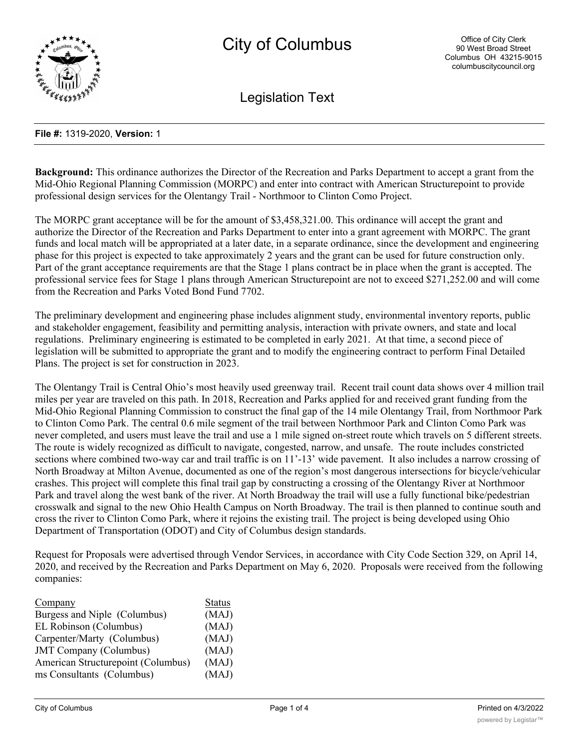

Legislation Text

### **File #:** 1319-2020, **Version:** 1

**Background:** This ordinance authorizes the Director of the Recreation and Parks Department to accept a grant from the Mid-Ohio Regional Planning Commission (MORPC) and enter into contract with American Structurepoint to provide professional design services for the Olentangy Trail - Northmoor to Clinton Como Project.

The MORPC grant acceptance will be for the amount of \$3,458,321.00. This ordinance will accept the grant and authorize the Director of the Recreation and Parks Department to enter into a grant agreement with MORPC. The grant funds and local match will be appropriated at a later date, in a separate ordinance, since the development and engineering phase for this project is expected to take approximately 2 years and the grant can be used for future construction only. Part of the grant acceptance requirements are that the Stage 1 plans contract be in place when the grant is accepted. The professional service fees for Stage 1 plans through American Structurepoint are not to exceed \$271,252.00 and will come from the Recreation and Parks Voted Bond Fund 7702.

The preliminary development and engineering phase includes alignment study, environmental inventory reports, public and stakeholder engagement, feasibility and permitting analysis, interaction with private owners, and state and local regulations. Preliminary engineering is estimated to be completed in early 2021. At that time, a second piece of legislation will be submitted to appropriate the grant and to modify the engineering contract to perform Final Detailed Plans. The project is set for construction in 2023.

The Olentangy Trail is Central Ohio's most heavily used greenway trail. Recent trail count data shows over 4 million trail miles per year are traveled on this path. In 2018, Recreation and Parks applied for and received grant funding from the Mid-Ohio Regional Planning Commission to construct the final gap of the 14 mile Olentangy Trail, from Northmoor Park to Clinton Como Park. The central 0.6 mile segment of the trail between Northmoor Park and Clinton Como Park was never completed, and users must leave the trail and use a 1 mile signed on-street route which travels on 5 different streets. The route is widely recognized as difficult to navigate, congested, narrow, and unsafe. The route includes constricted sections where combined two-way car and trail traffic is on 11'-13' wide pavement. It also includes a narrow crossing of North Broadway at Milton Avenue, documented as one of the region's most dangerous intersections for bicycle/vehicular crashes. This project will complete this final trail gap by constructing a crossing of the Olentangy River at Northmoor Park and travel along the west bank of the river. At North Broadway the trail will use a fully functional bike/pedestrian crosswalk and signal to the new Ohio Health Campus on North Broadway. The trail is then planned to continue south and cross the river to Clinton Como Park, where it rejoins the existing trail. The project is being developed using Ohio Department of Transportation (ODOT) and City of Columbus design standards.

Request for Proposals were advertised through Vendor Services, in accordance with City Code Section 329, on April 14, 2020, and received by the Recreation and Parks Department on May 6, 2020. Proposals were received from the following companies:

| Company                            | <b>Status</b> |
|------------------------------------|---------------|
| Burgess and Niple (Columbus)       | (MAJ)         |
| EL Robinson (Columbus)             | (MAJ)         |
| Carpenter/Marty (Columbus)         | (MAJ)         |
| <b>JMT</b> Company (Columbus)      | (MAJ)         |
| American Structurepoint (Columbus) | (MAJ)         |
| ms Consultants (Columbus)          | (MAJ)         |
|                                    |               |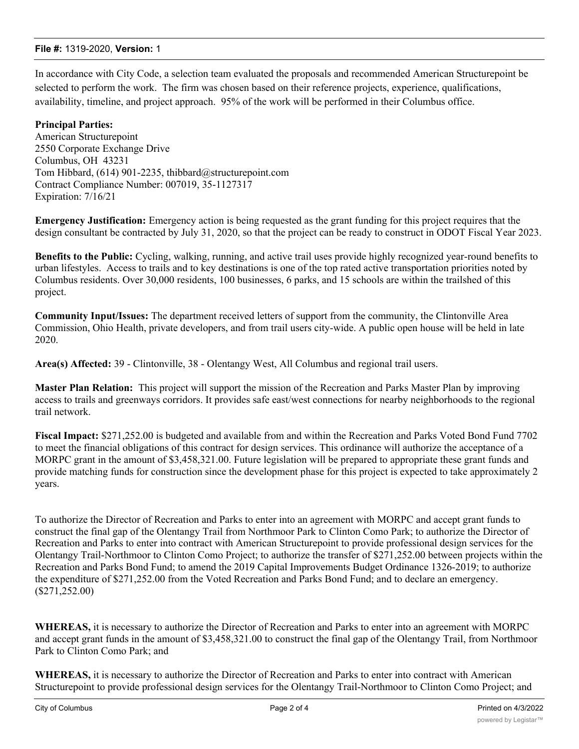# **File #:** 1319-2020, **Version:** 1

In accordance with City Code, a selection team evaluated the proposals and recommended American Structurepoint be selected to perform the work. The firm was chosen based on their reference projects, experience, qualifications, availability, timeline, and project approach. 95% of the work will be performed in their Columbus office.

# **Principal Parties:**

American Structurepoint 2550 Corporate Exchange Drive Columbus, OH 43231 Tom Hibbard, (614) 901-2235, thibbard@structurepoint.com Contract Compliance Number: 007019, 35-1127317 Expiration: 7/16/21

**Emergency Justification:** Emergency action is being requested as the grant funding for this project requires that the design consultant be contracted by July 31, 2020, so that the project can be ready to construct in ODOT Fiscal Year 2023.

**Benefits to the Public:** Cycling, walking, running, and active trail uses provide highly recognized year-round benefits to urban lifestyles. Access to trails and to key destinations is one of the top rated active transportation priorities noted by Columbus residents. Over 30,000 residents, 100 businesses, 6 parks, and 15 schools are within the trailshed of this project.

**Community Input/Issues:** The department received letters of support from the community, the Clintonville Area Commission, Ohio Health, private developers, and from trail users city-wide. A public open house will be held in late 2020.

**Area(s) Affected:** 39 - Clintonville, 38 - Olentangy West, All Columbus and regional trail users.

**Master Plan Relation:** This project will support the mission of the Recreation and Parks Master Plan by improving access to trails and greenways corridors. It provides safe east/west connections for nearby neighborhoods to the regional trail network.

**Fiscal Impact:** \$271,252.00 is budgeted and available from and within the Recreation and Parks Voted Bond Fund 7702 to meet the financial obligations of this contract for design services. This ordinance will authorize the acceptance of a MORPC grant in the amount of \$3,458,321.00. Future legislation will be prepared to appropriate these grant funds and provide matching funds for construction since the development phase for this project is expected to take approximately 2 years.

To authorize the Director of Recreation and Parks to enter into an agreement with MORPC and accept grant funds to construct the final gap of the Olentangy Trail from Northmoor Park to Clinton Como Park; to authorize the Director of Recreation and Parks to enter into contract with American Structurepoint to provide professional design services for the Olentangy Trail-Northmoor to Clinton Como Project; to authorize the transfer of \$271,252.00 between projects within the Recreation and Parks Bond Fund; to amend the 2019 Capital Improvements Budget Ordinance 1326-2019; to authorize the expenditure of \$271,252.00 from the Voted Recreation and Parks Bond Fund; and to declare an emergency. (\$271,252.00)

**WHEREAS,** it is necessary to authorize the Director of Recreation and Parks to enter into an agreement with MORPC and accept grant funds in the amount of \$3,458,321.00 to construct the final gap of the Olentangy Trail, from Northmoor Park to Clinton Como Park; and

**WHEREAS,** it is necessary to authorize the Director of Recreation and Parks to enter into contract with American Structurepoint to provide professional design services for the Olentangy Trail-Northmoor to Clinton Como Project; and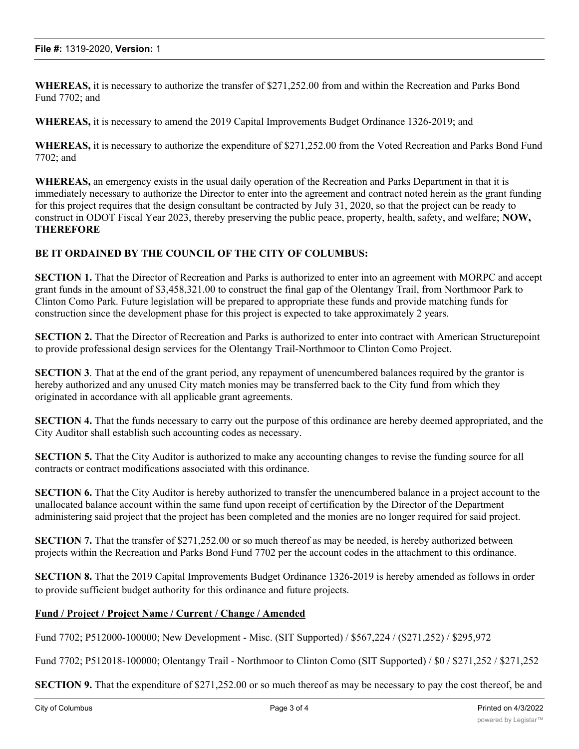**WHEREAS,** it is necessary to authorize the transfer of \$271,252.00 from and within the Recreation and Parks Bond Fund 7702; and

**WHEREAS,** it is necessary to amend the 2019 Capital Improvements Budget Ordinance 1326-2019; and

**WHEREAS,** it is necessary to authorize the expenditure of \$271,252.00 from the Voted Recreation and Parks Bond Fund 7702; and

**WHEREAS,** an emergency exists in the usual daily operation of the Recreation and Parks Department in that it is immediately necessary to authorize the Director to enter into the agreement and contract noted herein as the grant funding for this project requires that the design consultant be contracted by July 31, 2020, so that the project can be ready to construct in ODOT Fiscal Year 2023, thereby preserving the public peace, property, health, safety, and welfare; **NOW, THEREFORE**

# **BE IT ORDAINED BY THE COUNCIL OF THE CITY OF COLUMBUS:**

**SECTION 1.** That the Director of Recreation and Parks is authorized to enter into an agreement with MORPC and accept grant funds in the amount of \$3,458,321.00 to construct the final gap of the Olentangy Trail, from Northmoor Park to Clinton Como Park. Future legislation will be prepared to appropriate these funds and provide matching funds for construction since the development phase for this project is expected to take approximately 2 years.

**SECTION 2.** That the Director of Recreation and Parks is authorized to enter into contract with American Structurepoint to provide professional design services for the Olentangy Trail-Northmoor to Clinton Como Project.

**SECTION 3**. That at the end of the grant period, any repayment of unencumbered balances required by the grantor is hereby authorized and any unused City match monies may be transferred back to the City fund from which they originated in accordance with all applicable grant agreements.

**SECTION 4.** That the funds necessary to carry out the purpose of this ordinance are hereby deemed appropriated, and the City Auditor shall establish such accounting codes as necessary.

**SECTION 5.** That the City Auditor is authorized to make any accounting changes to revise the funding source for all contracts or contract modifications associated with this ordinance.

**SECTION 6.** That the City Auditor is hereby authorized to transfer the unencumbered balance in a project account to the unallocated balance account within the same fund upon receipt of certification by the Director of the Department administering said project that the project has been completed and the monies are no longer required for said project.

**SECTION 7.** That the transfer of \$271,252.00 or so much thereof as may be needed, is hereby authorized between projects within the Recreation and Parks Bond Fund 7702 per the account codes in the attachment to this ordinance.

**SECTION 8.** That the 2019 Capital Improvements Budget Ordinance 1326-2019 is hereby amended as follows in order to provide sufficient budget authority for this ordinance and future projects.

# **Fund / Project / Project Name / Current / Change / Amended**

Fund 7702; P512000-100000; New Development - Misc. (SIT Supported) / \$567,224 / (\$271,252) / \$295,972

Fund 7702; P512018-100000; Olentangy Trail - Northmoor to Clinton Como (SIT Supported) / \$0 / \$271,252 / \$271,252

**SECTION 9.** That the expenditure of \$271,252.00 or so much thereof as may be necessary to pay the cost thereof, be and